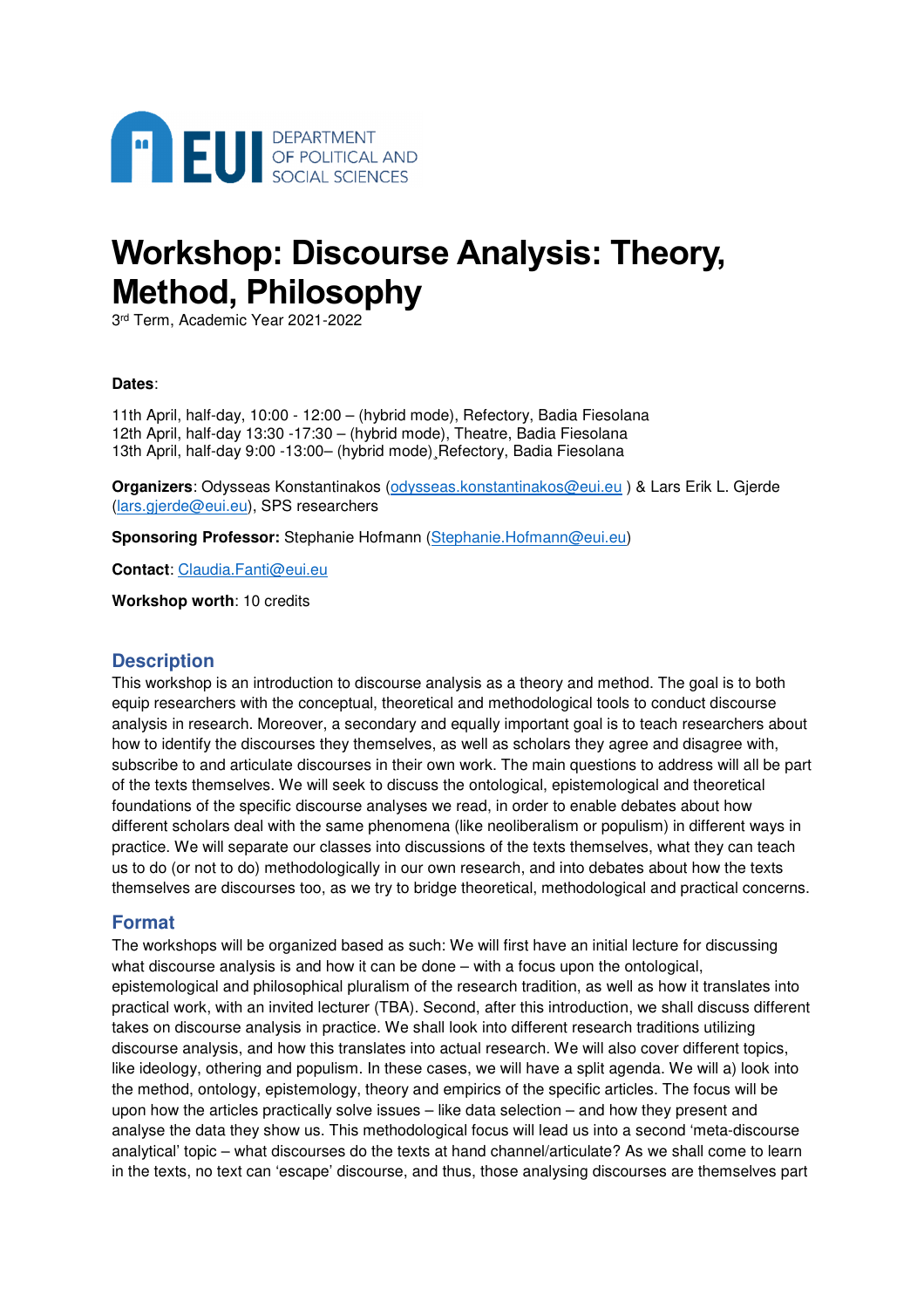

# **Workshop: Discourse Analysis: Theory, Method, Philosophy**

3 rd Term, Academic Year 2021-2022

## **Dates**:

11th April, half-day, 10:00 - 12:00 – (hybrid mode), Refectory, Badia Fiesolana 12th April, half-day 13:30 -17:30 – (hybrid mode), Theatre, Badia Fiesolana 13th April, half-day 9:00 -13:00– (hybrid mode)¸Refectory, Badia Fiesolana

**Organizers**: Odysseas Konstantinakos (odysseas.konstantinakos@eui.eu ) & Lars Erik L. Gjerde (lars.gjerde@eui.eu), SPS researchers

**Sponsoring Professor:** Stephanie Hofmann (Stephanie.Hofmann@eui.eu)

**Contact**: Claudia.Fanti@eui.eu

**Workshop worth**: 10 credits

## **Description**

This workshop is an introduction to discourse analysis as a theory and method. The goal is to both equip researchers with the conceptual, theoretical and methodological tools to conduct discourse analysis in research. Moreover, a secondary and equally important goal is to teach researchers about how to identify the discourses they themselves, as well as scholars they agree and disagree with, subscribe to and articulate discourses in their own work. The main questions to address will all be part of the texts themselves. We will seek to discuss the ontological, epistemological and theoretical foundations of the specific discourse analyses we read, in order to enable debates about how different scholars deal with the same phenomena (like neoliberalism or populism) in different ways in practice. We will separate our classes into discussions of the texts themselves, what they can teach us to do (or not to do) methodologically in our own research, and into debates about how the texts themselves are discourses too, as we try to bridge theoretical, methodological and practical concerns.

## **Format**

The workshops will be organized based as such: We will first have an initial lecture for discussing what discourse analysis is and how it can be done – with a focus upon the ontological, epistemological and philosophical pluralism of the research tradition, as well as how it translates into practical work, with an invited lecturer (TBA). Second, after this introduction, we shall discuss different takes on discourse analysis in practice. We shall look into different research traditions utilizing discourse analysis, and how this translates into actual research. We will also cover different topics, like ideology, othering and populism. In these cases, we will have a split agenda. We will a) look into the method, ontology, epistemology, theory and empirics of the specific articles. The focus will be upon how the articles practically solve issues – like data selection – and how they present and analyse the data they show us. This methodological focus will lead us into a second 'meta-discourse analytical' topic – what discourses do the texts at hand channel/articulate? As we shall come to learn in the texts, no text can 'escape' discourse, and thus, those analysing discourses are themselves part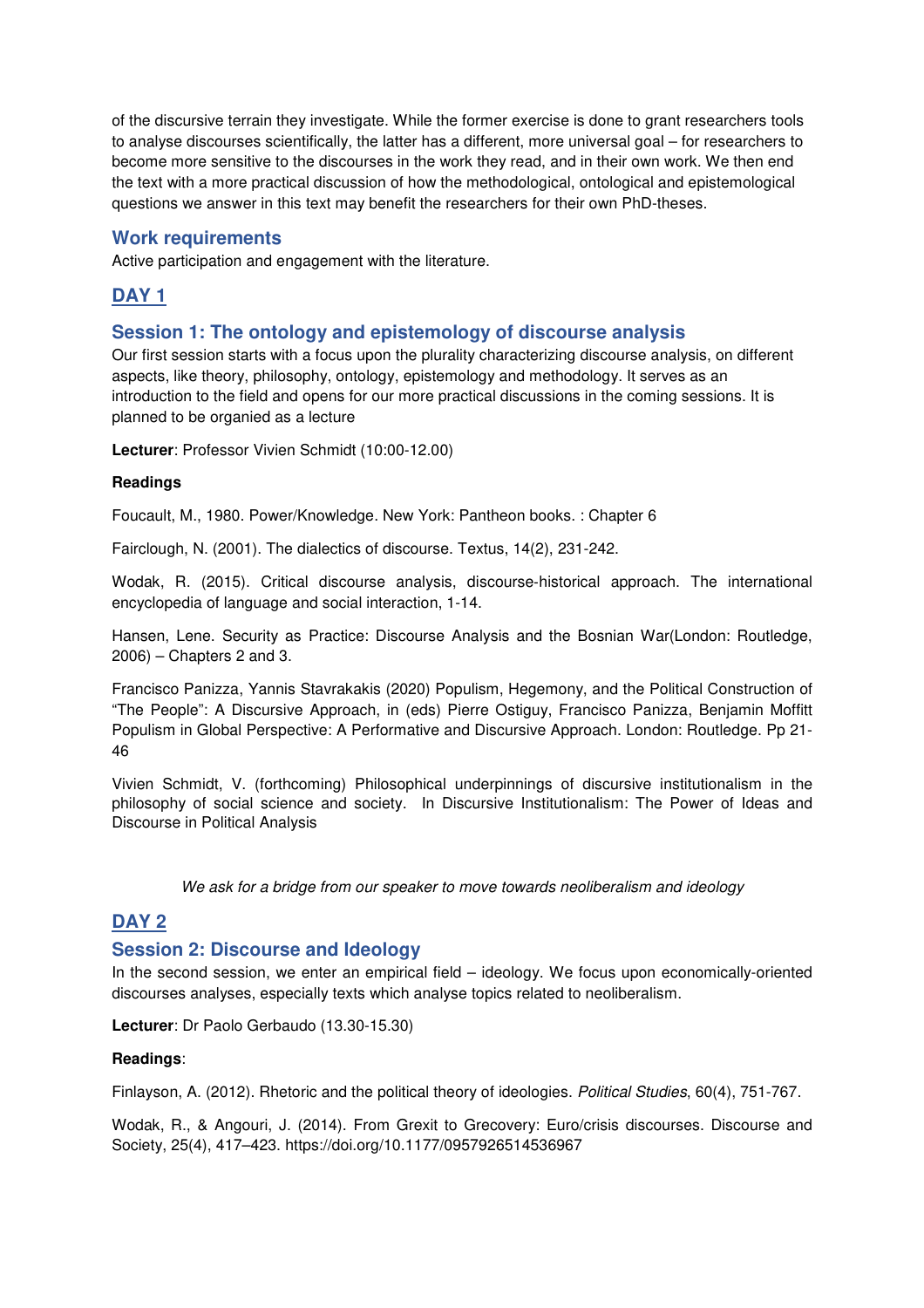of the discursive terrain they investigate. While the former exercise is done to grant researchers tools to analyse discourses scientifically, the latter has a different, more universal goal – for researchers to become more sensitive to the discourses in the work they read, and in their own work. We then end the text with a more practical discussion of how the methodological, ontological and epistemological questions we answer in this text may benefit the researchers for their own PhD-theses.

## **Work requirements**

Active participation and engagement with the literature.

## **DAY 1**

## **Session 1: The ontology and epistemology of discourse analysis**

Our first session starts with a focus upon the plurality characterizing discourse analysis, on different aspects, like theory, philosophy, ontology, epistemology and methodology. It serves as an introduction to the field and opens for our more practical discussions in the coming sessions. It is planned to be organied as a lecture

**Lecturer**: Professor Vivien Schmidt (10:00-12.00)

## **Readings**

Foucault, M., 1980. Power/Knowledge. New York: Pantheon books. : Chapter 6

Fairclough, N. (2001). The dialectics of discourse. Textus, 14(2), 231-242.

Wodak, R. (2015). Critical discourse analysis, discourse‐historical approach. The international encyclopedia of language and social interaction, 1-14.

Hansen, Lene. Security as Practice: Discourse Analysis and the Bosnian War(London: Routledge, 2006) – Chapters 2 and 3.

Francisco Panizza, Yannis Stavrakakis (2020) Populism, Hegemony, and the Political Construction of "The People": A Discursive Approach, in (eds) Pierre Ostiguy, Francisco Panizza, Benjamin Moffitt Populism in Global Perspective: A Performative and Discursive Approach. London: Routledge. Pp 21- 46

Vivien Schmidt, V. (forthcoming) Philosophical underpinnings of discursive institutionalism in the philosophy of social science and society. In Discursive Institutionalism: The Power of Ideas and Discourse in Political Analysis

We ask for a bridge from our speaker to move towards neoliberalism and ideology

## **DAY 2**

## **Session 2: Discourse and Ideology**

In the second session, we enter an empirical field – ideology. We focus upon economically-oriented discourses analyses, especially texts which analyse topics related to neoliberalism.

**Lecturer**: Dr Paolo Gerbaudo (13.30-15.30)

## **Readings**:

Finlayson, A. (2012). Rhetoric and the political theory of ideologies. Political Studies, 60(4), 751-767.

Wodak, R., & Angouri, J. (2014). From Grexit to Grecovery: Euro/crisis discourses. Discourse and Society, 25(4), 417–423. https://doi.org/10.1177/0957926514536967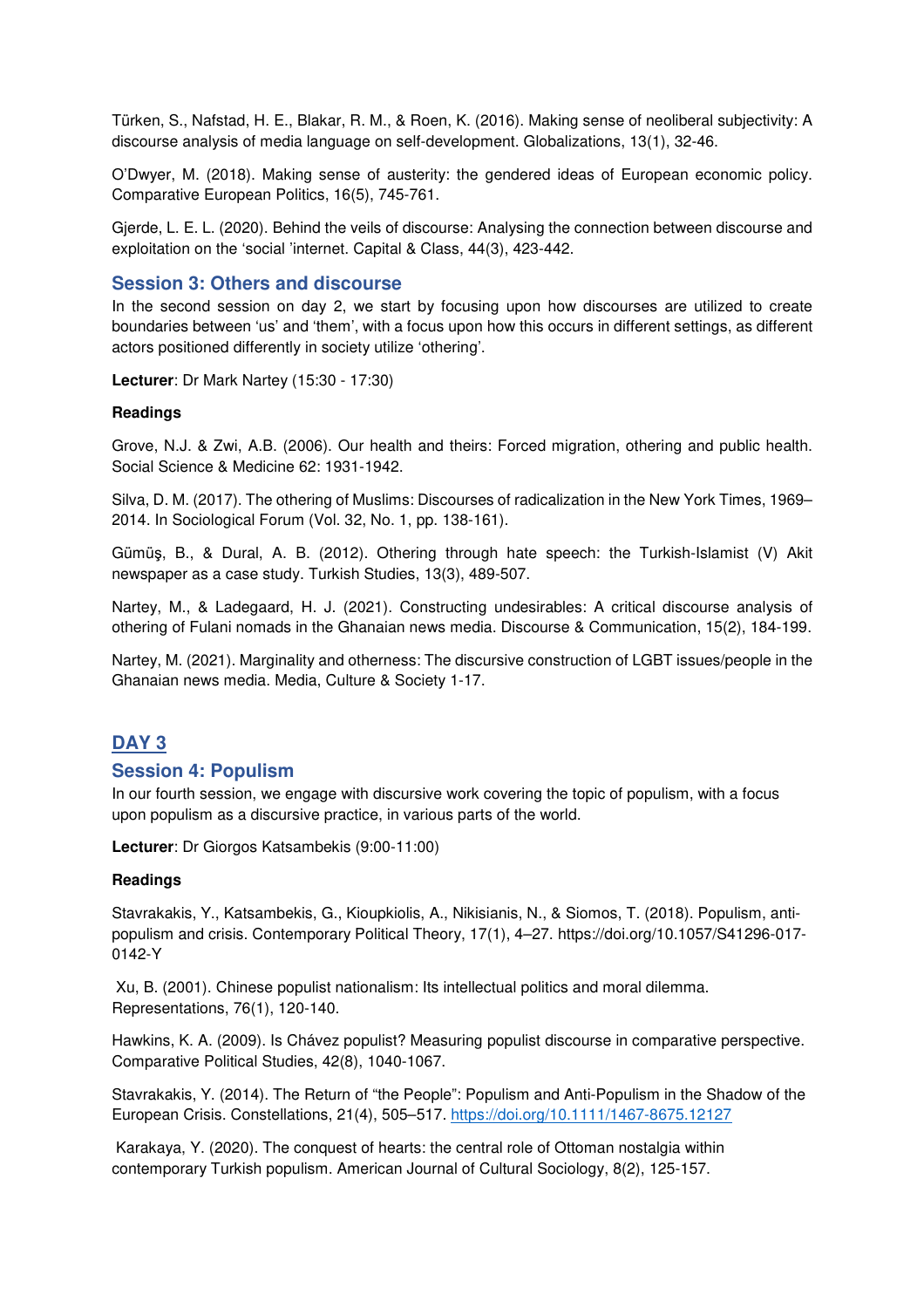Türken, S., Nafstad, H. E., Blakar, R. M., & Roen, K. (2016). Making sense of neoliberal subjectivity: A discourse analysis of media language on self-development. Globalizations, 13(1), 32-46.

O'Dwyer, M. (2018). Making sense of austerity: the gendered ideas of European economic policy. Comparative European Politics, 16(5), 745-761.

Gjerde, L. E. L. (2020). Behind the veils of discourse: Analysing the connection between discourse and exploitation on the 'social 'internet. Capital & Class, 44(3), 423-442.

## **Session 3: Others and discourse**

In the second session on day 2, we start by focusing upon how discourses are utilized to create boundaries between 'us' and 'them', with a focus upon how this occurs in different settings, as different actors positioned differently in society utilize 'othering'.

**Lecturer**: Dr Mark Nartey (15:30 - 17:30)

#### **Readings**

Grove, N.J. & Zwi, A.B. (2006). Our health and theirs: Forced migration, othering and public health. Social Science & Medicine 62: 1931-1942.

Silva, D. M. (2017). The othering of Muslims: Discourses of radicalization in the New York Times, 1969– 2014. In Sociological Forum (Vol. 32, No. 1, pp. 138-161).

Gümüş, B., & Dural, A. B. (2012). Othering through hate speech: the Turkish-Islamist (V) Akit newspaper as a case study. Turkish Studies, 13(3), 489-507.

Nartey, M., & Ladegaard, H. J. (2021). Constructing undesirables: A critical discourse analysis of othering of Fulani nomads in the Ghanaian news media. Discourse & Communication, 15(2), 184-199.

Nartey, M. (2021). Marginality and otherness: The discursive construction of LGBT issues/people in the Ghanaian news media. Media, Culture & Society 1-17.

## **DAY 3**

## **Session 4: Populism**

In our fourth session, we engage with discursive work covering the topic of populism, with a focus upon populism as a discursive practice, in various parts of the world.

**Lecturer**: Dr Giorgos Katsambekis (9:00-11:00)

#### **Readings**

Stavrakakis, Y., Katsambekis, G., Kioupkiolis, A., Nikisianis, N., & Siomos, T. (2018). Populism, antipopulism and crisis. Contemporary Political Theory, 17(1), 4–27. https://doi.org/10.1057/S41296-017- 0142-Y

 Xu, B. (2001). Chinese populist nationalism: Its intellectual politics and moral dilemma. Representations, 76(1), 120-140.

Hawkins, K. A. (2009). Is Chávez populist? Measuring populist discourse in comparative perspective. Comparative Political Studies, 42(8), 1040-1067.

Stavrakakis, Y. (2014). The Return of "the People": Populism and Anti-Populism in the Shadow of the European Crisis. Constellations, 21(4), 505–517. https://doi.org/10.1111/1467-8675.12127

 Karakaya, Y. (2020). The conquest of hearts: the central role of Ottoman nostalgia within contemporary Turkish populism. American Journal of Cultural Sociology, 8(2), 125-157.